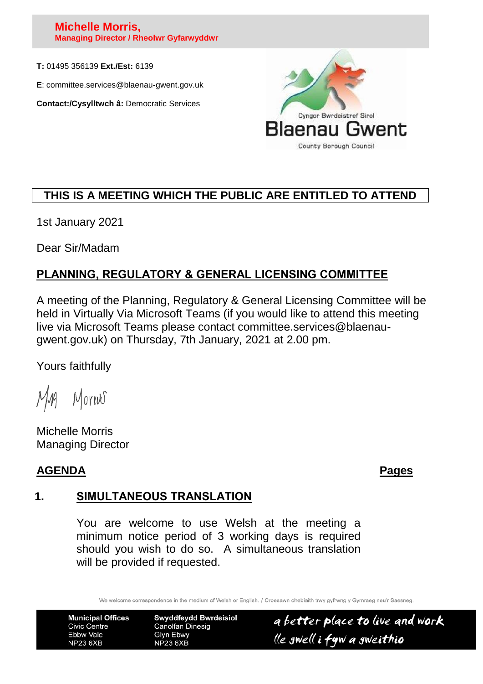#### **Michelle Morris, Managing Director / Rheolwr Gyfarwyddwr**

**T:** 01495 356139 **Ext./Est:** 6139

**E**: committee.services@blaenau-gwent.gov.uk

**Contact:/Cysylltwch â:** Democratic Services



# **THIS IS A MEETING WHICH THE PUBLIC ARE ENTITLED TO ATTEND**

1st January 2021

Dear Sir/Madam

# **PLANNING, REGULATORY & GENERAL LICENSING COMMITTEE**

A meeting of the Planning, Regulatory & General Licensing Committee will be held in Virtually Via Microsoft Teams (if you would like to attend this meeting live via Microsoft Teams please contact committee.services@blaenaugwent.gov.uk) on Thursday, 7th January, 2021 at 2.00 pm.

Yours faithfully

Mornes

Michelle Morris Managing Director

## **AGENDA Pages**

## **1. SIMULTANEOUS TRANSLATION**

You are welcome to use Welsh at the meeting a minimum notice period of 3 working days is required should you wish to do so. A simultaneous translation will be provided if requested.

We welcome correspondence in the medium of Welsh or English. / Croesawn ohebiaith trwy gyfrwng y Gymraeg neu'r Saesneg

**Municipal Offices Civic Centre** Ebbw Vale **NP23 6XB** 

**Swyddfeydd Bwrdeisiol Canolfan Dinesig Glyn Ebwy NP23 6XB** 

a better place to live and work lle gwell i fyw a gweithio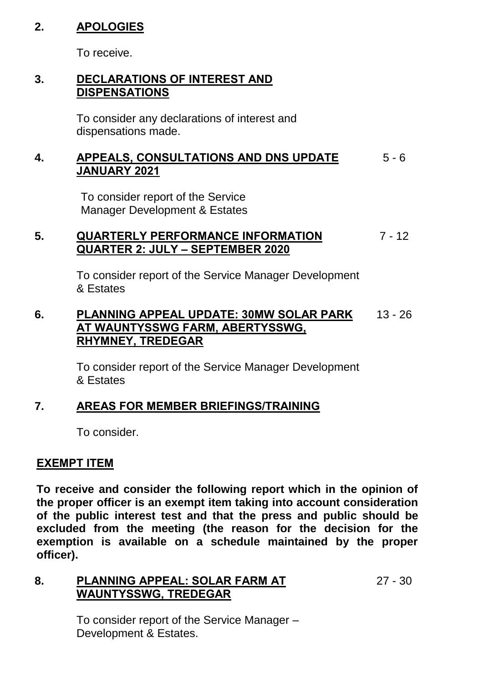### **2. APOLOGIES**

To receive.

### **3. DECLARATIONS OF INTEREST AND DISPENSATIONS**

To consider any declarations of interest and dispensations made.

#### **4. APPEALS, CONSULTATIONS AND DNS UPDATE JANUARY 2021**  $5 - 6$

To consider report of the Service Manager Development & Estates

#### **5. QUARTERLY PERFORMANCE INFORMATION QUARTER 2: JULY – SEPTEMBER 2020** 7 - 12

To consider report of the Service Manager Development & Estates

#### **6. PLANNING APPEAL UPDATE: 30MW SOLAR PARK AT WAUNTYSSWG FARM, ABERTYSSWG, RHYMNEY, TREDEGAR** 13 - 26

To consider report of the Service Manager Development & Estates

## **7. AREAS FOR MEMBER BRIEFINGS/TRAINING**

To consider.

#### **EXEMPT ITEM**

**To receive and consider the following report which in the opinion of the proper officer is an exempt item taking into account consideration of the public interest test and that the press and public should be excluded from the meeting (the reason for the decision for the exemption is available on a schedule maintained by the proper officer).**

#### **8. PLANNING APPEAL: SOLAR FARM AT WAUNTYSSWG, TREDEGAR** 27 - 30

To consider report of the Service Manager – Development & Estates.